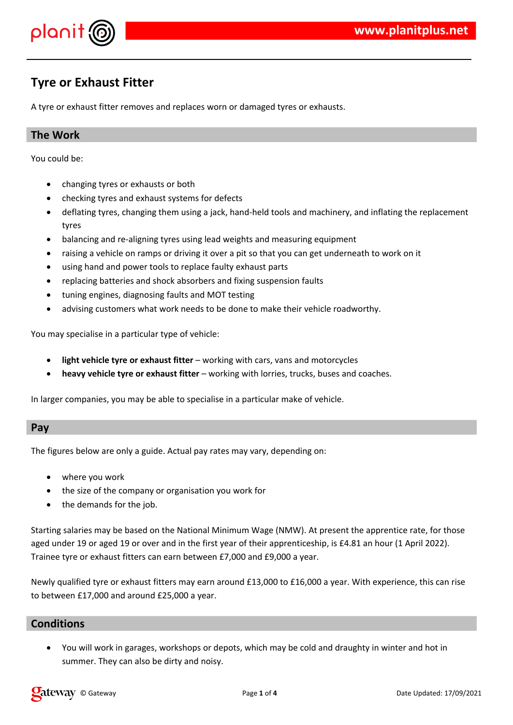

## **Tyre or Exhaust Fitter**

A tyre or exhaust fitter removes and replaces worn or damaged tyres or exhausts.

## **The Work**

You could be:

- changing tyres or exhausts or both
- checking tyres and exhaust systems for defects
- deflating tyres, changing them using a jack, hand-held tools and machinery, and inflating the replacement tyres
- balancing and re-aligning tyres using lead weights and measuring equipment
- raising a vehicle on ramps or driving it over a pit so that you can get underneath to work on it
- using hand and power tools to replace faulty exhaust parts
- replacing batteries and shock absorbers and fixing suspension faults
- tuning engines, diagnosing faults and MOT testing
- advising customers what work needs to be done to make their vehicle roadworthy.

You may specialise in a particular type of vehicle:

- **light vehicle tyre or exhaust fitter** working with cars, vans and motorcycles
- **heavy vehicle tyre or exhaust fitter** working with lorries, trucks, buses and coaches.

In larger companies, you may be able to specialise in a particular make of vehicle.

#### **Pay**

The figures below are only a guide. Actual pay rates may vary, depending on:

- where you work
- the size of the company or organisation you work for
- the demands for the job.

Starting salaries may be based on the National Minimum Wage (NMW). At present the apprentice rate, for those aged under 19 or aged 19 or over and in the first year of their apprenticeship, is £4.81 an hour (1 April 2022). Trainee tyre or exhaust fitters can earn between £7,000 and £9,000 a year.

Newly qualified tyre or exhaust fitters may earn around £13,000 to £16,000 a year. With experience, this can rise to between £17,000 and around £25,000 a year.

### **Conditions**

 You will work in garages, workshops or depots, which may be cold and draughty in winter and hot in summer. They can also be dirty and noisy.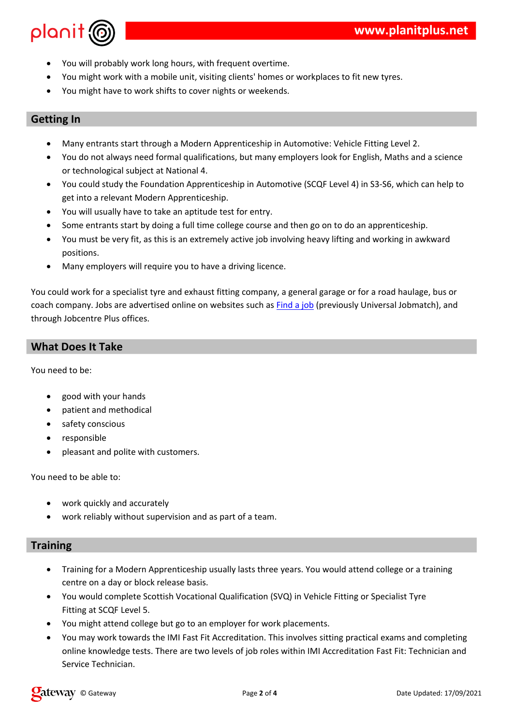| \$                | $\overline{11}$                       | %%&!                  |        |                                       | $\star$                 |                       |      | #                                                           |  |
|-------------------|---------------------------------------|-----------------------|--------|---------------------------------------|-------------------------|-----------------------|------|-------------------------------------------------------------|--|
| \$                |                                       | $\boldsymbol{\alpha}$ | $%$ !  | $\overline{\phantom{a}}$              | $^{\prime\prime}$ !     | $\,<\,$               |      | & ! "<br>$\#$                                               |  |
| $\boldsymbol{\$}$ |                                       |                       | $\&$   | $\pmb{\mathsf{H}}$                    |                         | $\boldsymbol{\alpha}$ | $\#$ |                                                             |  |
|                   |                                       |                       |        |                                       |                         |                       |      |                                                             |  |
|                   |                                       |                       |        |                                       |                         |                       |      |                                                             |  |
|                   |                                       |                       |        |                                       |                         |                       |      |                                                             |  |
| ٠                 |                                       |                       |        |                                       | ш<br>+                  |                       |      | #<br>$\blacksquare$<br>$>$ ?<br>$=$                         |  |
| \$                |                                       |                       | *!     | - 1                                   | %<br>υ<br>$\mathcal{L}$ |                       |      | $\frac{1}{8}$<br>@<br>$+$ "<br>$\mathbb{R}$<br>$\mathbf{r}$ |  |
|                   | п                                     | $"$ $\vdots$          |        | 7#!                                   |                         |                       |      |                                                             |  |
| \$                | п                                     |                       | $\geq$ |                                       |                         | П                     |      | $41A B > 7159$   1: "<br>$\blacksquare$                     |  |
|                   |                                       |                       | $+$    |                                       | ш                       | #                     |      |                                                             |  |
| \$                | $\begin{array}{c} \hline \end{array}$ | $\mathbf{1}$          | &      |                                       |                         | #                     |      |                                                             |  |
|                   |                                       |                       | %      | $\begin{array}{c} \hline \end{array}$ | л,<br>Ш                 |                       |      | ш<br>#                                                      |  |

 $\%$   $\qquad \qquad \frac{1!}{1!}$   $\qquad \qquad \frac{1}{1!}$  $\frac{1}{2}$  (%  $\frac{1}{2}$ )  $\boldsymbol{\mathsf{S}}$  $8<sup>2</sup>$  $\sim 10$  $#$ 

 $\sim$  1  $\sim$  11  $^{-1}$  $\frac{1}{2}$  "  $\frac{1}{2}$  "  $\frac{1}{2}$  $+$ 

 $\frac{1}{2}$   $\frac{1}{4}$   $\frac{1}{6}$   $\frac{1}{1}$   $\frac{1}{6}$   $\frac{1}{6}$   $\frac{1}{6}$   $\frac{1}{1}$   $\frac{1}{1}$   $\frac{1}{1}$   $\frac{1}{1}$   $\frac{1}{1}$   $\frac{1}{1}$   $\frac{1}{1}$   $\frac{1}{1}$   $\frac{1}{1}$   $\frac{1}{1}$   $\frac{1}{1}$   $\frac{1}{1}$   $\frac{1}{1}$   $\frac{1}{1}$   $\frac{1}{1}$   $"$   $\frac{1}{2}$  $8^{''}$ \$  $\%$  $"5$ 

## $\mathbb{R}$  and  $\mathbb{R}$

\$  $\%$ 

 $\frac{\theta}{\theta} = \frac{1}{2}$  and  $\theta$  $\Gamma$  $\boldsymbol{\mathsf{S}}$  $\%$  %!

> $8 * "8!""$ 8. ! % !

 $#$ 

 $\pm$  $\blacksquare$ n, %  $#$  $\%$ ! "&  $\begin{bmatrix} 1 & 1 & 1 & 1 \end{bmatrix}$  = B'  $\begin{bmatrix} 1 & 1 & 4 & 1 & 1 \end{bmatrix}$  = B = 1  $\begin{bmatrix} 1 & 2 & 1 \end{bmatrix}$  = B = 1  $\begin{bmatrix} 1 & 2 & 1 \end{bmatrix}$  = 1  $\begin{bmatrix} 1 & 2 & 1 \end{bmatrix}$  $\, \, \raisebox{12pt}{$\scriptstyle \$}$  $PAB5;#$  $\,>$  $\, \, \raisebox{12pt}{$\scriptstyle \$}$  $\mathfrak{S}$  $\sim 1$  $\cdots$   $\cdots$   $\#$  $1$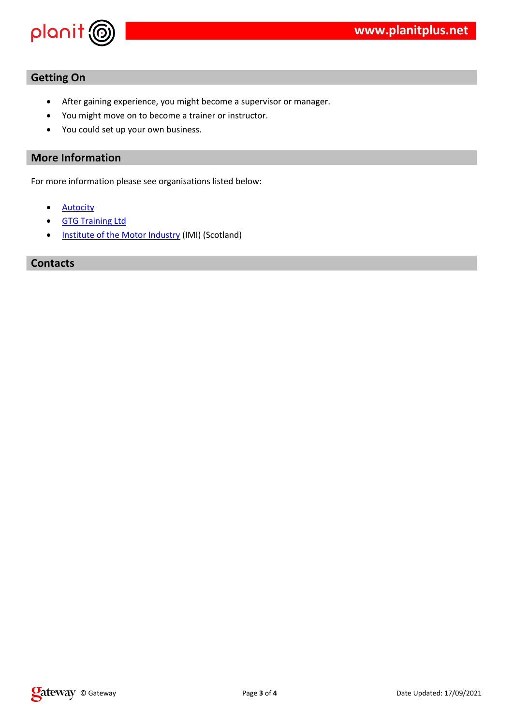|               | $\boldsymbol{\theta}$                                                            |                                                                              |   |
|---------------|----------------------------------------------------------------------------------|------------------------------------------------------------------------------|---|
|               | $\boldsymbol{\mathsf{\$}}$<br>$\sqrt[6]{\frac{1}{2}}$<br>$\mathbf{m}=\mathbf{q}$ | $\mathbf{H}=\mathbf{H}$<br>$%$ "<br>% "<br>$\mathbf{H}$<br>$\#$<br>$\%$<br># | # |
| $\frac{0}{0}$ | $\alpha$<br>L                                                                    |                                                                              |   |
| $\geq$        |                                                                                  | %!                                                                           |   |
|               | $\mathbf{H}$<br>$\mathcal{P}$<br>$\ddot{}$                                       | $/$ 4/+/5 41" ! 5                                                            |   |